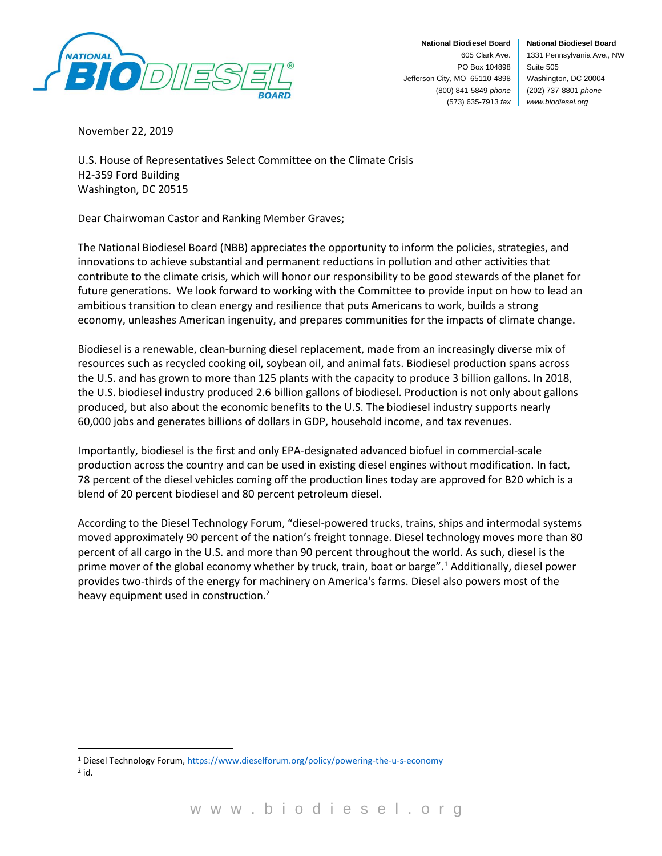

**National Biodiesel Board** 1331 Pennsylvania Ave., NW Suite 505 Washington, DC 20004 (202) 737-8801 *phone www.biodiesel.org*

November 22, 2019

U.S. House of Representatives Select Committee on the Climate Crisis H2-359 Ford Building Washington, DC 20515

Dear Chairwoman Castor and Ranking Member Graves;

The National Biodiesel Board (NBB) appreciates the opportunity to inform the policies, strategies, and innovations to achieve substantial and permanent reductions in pollution and other activities that contribute to the climate crisis, which will honor our responsibility to be good stewards of the planet for future generations. We look forward to working with the Committee to provide input on how to lead an ambitious transition to clean energy and resilience that puts Americans to work, builds a strong economy, unleashes American ingenuity, and prepares communities for the impacts of climate change.

Biodiesel is a renewable, clean-burning diesel replacement, made from an increasingly diverse mix of resources such as recycled cooking oil, soybean oil, and animal fats. Biodiesel production spans across the U.S. and has grown to more than 125 plants with the capacity to produce 3 billion gallons. In 2018, the U.S. biodiesel industry produced 2.6 billion gallons of biodiesel. Production is not only about gallons produced, but also about the economic benefits to the U.S. The biodiesel industry supports nearly 60,000 jobs and generates billions of dollars in GDP, household income, and tax revenues.

Importantly, biodiesel is the first and only EPA-designated advanced biofuel in commercial-scale production across the country and can be used in existing diesel engines without modification. In fact, 78 percent of the diesel vehicles coming off the production lines today are approved for B20 which is a blend of 20 percent biodiesel and 80 percent petroleum diesel.

According to the Diesel Technology Forum, "diesel-powered trucks, trains, ships and intermodal systems moved approximately 90 percent of the nation's freight tonnage. Diesel technology moves more than 80 percent of all cargo in the U.S. and more than 90 percent throughout the world. As such, diesel is the prime mover of the global economy whether by truck, train, boat or barge".<sup>1</sup> Additionally, diesel power provides two-thirds of the energy for machinery on America's farms. Diesel also powers most of the heavy equipment used in construction.<sup>2</sup>

<sup>1</sup> Diesel Technology Forum[, https://www.dieselforum.org/policy/powering-the-u-s-economy](https://www.dieselforum.org/policy/powering-the-u-s-economy)  $2$  id.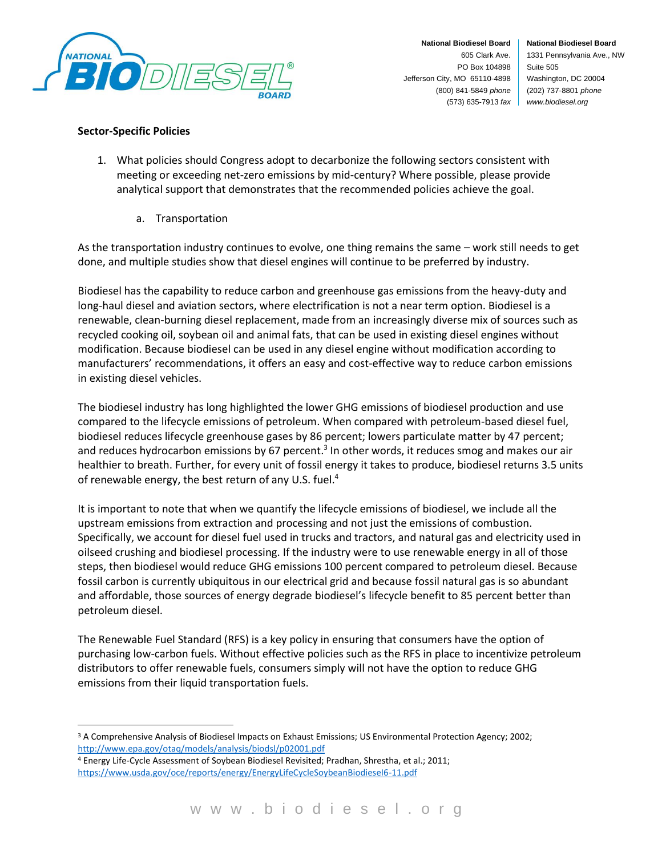

**National Biodiesel Board** 1331 Pennsylvania Ave., NW Suite 505 Washington, DC 20004 (202) 737-8801 *phone www.biodiesel.org*

## **Sector-Specific Policies**

- 1. What policies should Congress adopt to decarbonize the following sectors consistent with meeting or exceeding net-zero emissions by mid-century? Where possible, please provide analytical support that demonstrates that the recommended policies achieve the goal.
	- a. Transportation

As the transportation industry continues to evolve, one thing remains the same – work still needs to get done, and multiple studies show that diesel engines will continue to be preferred by industry.

Biodiesel has the capability to reduce carbon and greenhouse gas emissions from the heavy-duty and long-haul diesel and aviation sectors, where electrification is not a near term option. Biodiesel is a renewable, clean-burning diesel replacement, made from an increasingly diverse mix of sources such as recycled cooking oil, soybean oil and animal fats, that can be used in existing diesel engines without modification. Because biodiesel can be used in any diesel engine without modification according to manufacturers' recommendations, it offers an easy and cost-effective way to reduce carbon emissions in existing diesel vehicles.

The biodiesel industry has long highlighted the lower GHG emissions of biodiesel production and use compared to the lifecycle emissions of petroleum. When compared with petroleum-based diesel fuel, biodiesel reduces lifecycle greenhouse gases by 86 percent; lowers particulate matter by 47 percent; and reduces hydrocarbon emissions by 67 percent.<sup>3</sup> In other words, it reduces smog and makes our air healthier to breath. Further, for every unit of fossil energy it takes to produce, biodiesel returns 3.5 units of renewable energy, the best return of any U.S. fuel.<sup>4</sup>

It is important to note that when we quantify the lifecycle emissions of biodiesel, we include all the upstream emissions from extraction and processing and not just the emissions of combustion. Specifically, we account for diesel fuel used in trucks and tractors, and natural gas and electricity used in oilseed crushing and biodiesel processing. If the industry were to use renewable energy in all of those steps, then biodiesel would reduce GHG emissions 100 percent compared to petroleum diesel. Because fossil carbon is currently ubiquitous in our electrical grid and because fossil natural gas is so abundant and affordable, those sources of energy degrade biodiesel's lifecycle benefit to 85 percent better than petroleum diesel.

The Renewable Fuel Standard (RFS) is a key policy in ensuring that consumers have the option of purchasing low-carbon fuels. Without effective policies such as the RFS in place to incentivize petroleum distributors to offer renewable fuels, consumers simply will not have the option to reduce GHG emissions from their liquid transportation fuels.

<sup>4</sup> Energy Life-Cycle Assessment of Soybean Biodiesel Revisited; Pradhan, Shrestha, et al.; 2011; <https://www.usda.gov/oce/reports/energy/EnergyLifeCycleSoybeanBiodieseI6-11.pdf>

<sup>&</sup>lt;sup>3</sup> A Comprehensive Analysis of Biodiesel Impacts on Exhaust Emissions; US Environmental Protection Agency; 2002; <http://www.epa.gov/otaq/models/analysis/biodsl/p02001.pdf>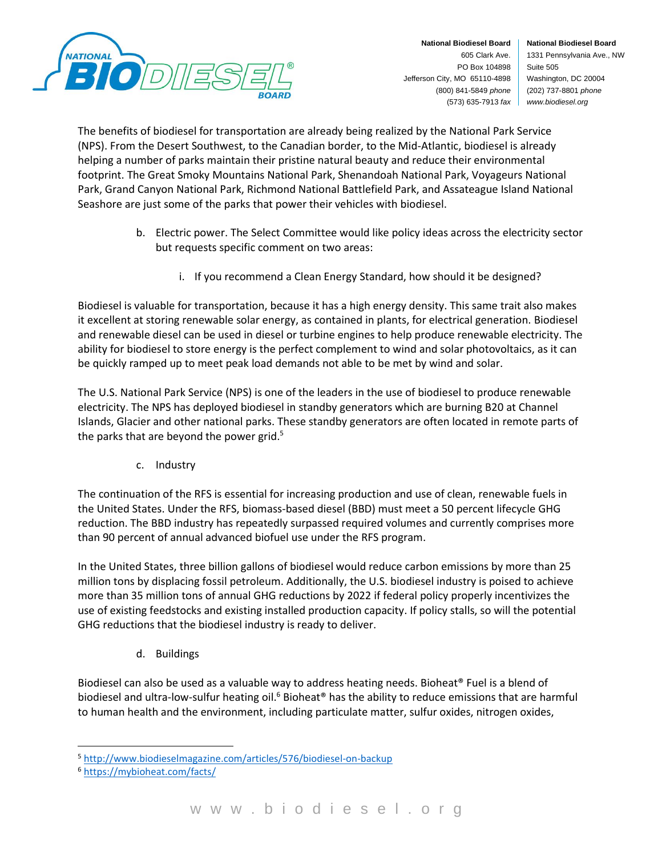

**National Biodiesel Board** 1331 Pennsylvania Ave., NW Suite 505 Washington, DC 20004 (202) 737-8801 *phone www.biodiesel.org*

The benefits of biodiesel for transportation are already being realized by the National Park Service (NPS). From the Desert Southwest, to the Canadian border, to the Mid-Atlantic, biodiesel is already helping a number of parks maintain their pristine natural beauty and reduce their environmental footprint. The Great Smoky Mountains National Park, Shenandoah National Park, Voyageurs National Park, Grand Canyon National Park, Richmond National Battlefield Park, and Assateague Island National Seashore are just some of the parks that power their vehicles with biodiesel.

- b. Electric power. The Select Committee would like policy ideas across the electricity sector but requests specific comment on two areas:
	- i. If you recommend a Clean Energy Standard, how should it be designed?

Biodiesel is valuable for transportation, because it has a high energy density. This same trait also makes it excellent at storing renewable solar energy, as contained in plants, for electrical generation. Biodiesel and renewable diesel can be used in diesel or turbine engines to help produce renewable electricity. The ability for biodiesel to store energy is the perfect complement to wind and solar photovoltaics, as it can be quickly ramped up to meet peak load demands not able to be met by wind and solar.

The U.S. National Park Service (NPS) is one of the leaders in the use of biodiesel to produce renewable electricity. The NPS has deployed biodiesel in standby generators which are burning B20 at Channel Islands, Glacier and other national parks. These standby generators are often located in remote parts of the parks that are beyond the power grid.<sup>5</sup>

c. Industry

The continuation of the RFS is essential for increasing production and use of clean, renewable fuels in the United States. Under the RFS, biomass-based diesel (BBD) must meet a 50 percent lifecycle GHG reduction. The BBD industry has repeatedly surpassed required volumes and currently comprises more than 90 percent of annual advanced biofuel use under the RFS program.

In the United States, three billion gallons of biodiesel would reduce carbon emissions by more than 25 million tons by displacing fossil petroleum. Additionally, the U.S. biodiesel industry is poised to achieve more than 35 million tons of annual GHG reductions by 2022 if federal policy properly incentivizes the use of existing feedstocks and existing installed production capacity. If policy stalls, so will the potential GHG reductions that the biodiesel industry is ready to deliver.

d. Buildings

Biodiesel can also be used as a valuable way to address heating needs. Bioheat® Fuel is a blend of biodiesel and ultra-low-sulfur heating oil.<sup>6</sup> Bioheat<sup>®</sup> has the ability to reduce emissions that are harmful to human health and the environment, including particulate matter, sulfur oxides, nitrogen oxides,

<sup>5</sup> <http://www.biodieselmagazine.com/articles/576/biodiesel-on-backup>

<sup>6</sup> <https://mybioheat.com/facts/>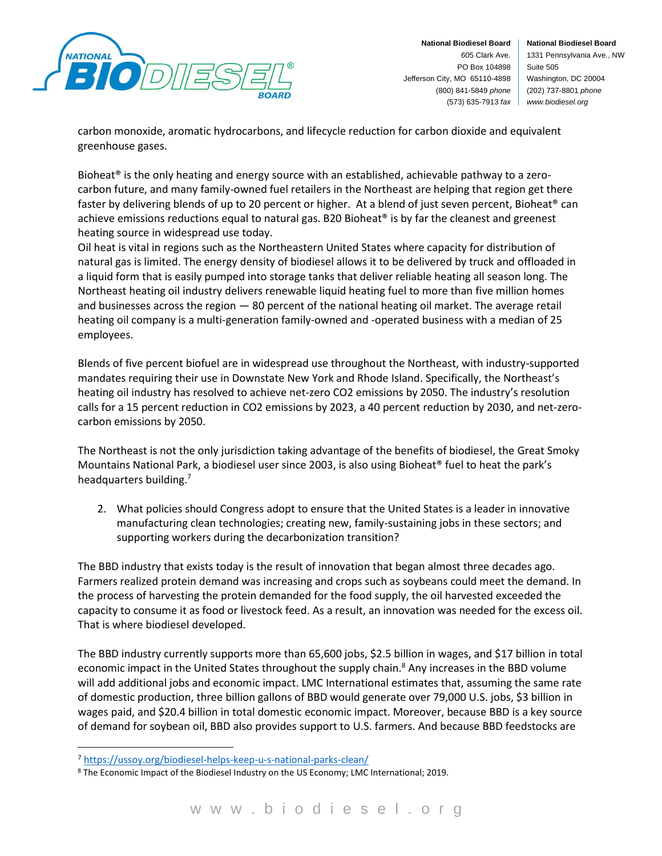

**National Biodiesel Board** 1331 Pennsylvania Ave., NW Suite 505 Washington, DC 20004 (202) 737-8801 *phone www.biodiesel.org*

carbon monoxide, aromatic hydrocarbons, and lifecycle reduction for carbon dioxide and equivalent greenhouse gases.

Bioheat® is the only heating and energy source with an established, achievable pathway to a zerocarbon future, and many family-owned fuel retailers in the Northeast are helping that region get there faster by delivering blends of up to 20 percent or higher. At a blend of just seven percent, Bioheat® can achieve emissions reductions equal to natural gas. B20 Bioheat® is by far the cleanest and greenest heating source in widespread use today.

Oil heat is vital in regions such as the Northeastern United States where capacity for distribution of natural gas is limited. The energy density of biodiesel allows it to be delivered by truck and offloaded in a liquid form that is easily pumped into storage tanks that deliver reliable heating all season long. The Northeast heating oil industry delivers renewable liquid heating fuel to more than five million homes and businesses across the region — 80 percent of the national heating oil market. The average retail heating oil company is a multi-generation family-owned and -operated business with a median of 25 employees.

Blends of five percent biofuel are in widespread use throughout the Northeast, with industry-supported mandates requiring their use in Downstate New York and Rhode Island. Specifically, the Northeast's heating oil industry has resolved to achieve net-zero CO2 emissions by 2050. The industry's resolution calls for a 15 percent reduction in CO2 emissions by 2023, a 40 percent reduction by 2030, and net-zerocarbon emissions by 2050.

The Northeast is not the only jurisdiction taking advantage of the benefits of biodiesel, the Great Smoky Mountains National Park, a biodiesel user since 2003, is also using Bioheat® fuel to heat the park's headquarters building.<sup>7</sup>

2. What policies should Congress adopt to ensure that the United States is a leader in innovative manufacturing clean technologies; creating new, family-sustaining jobs in these sectors; and supporting workers during the decarbonization transition?

The BBD industry that exists today is the result of innovation that began almost three decades ago. Farmers realized protein demand was increasing and crops such as soybeans could meet the demand. In the process of harvesting the protein demanded for the food supply, the oil harvested exceeded the capacity to consume it as food or livestock feed. As a result, an innovation was needed for the excess oil. That is where biodiesel developed.

The BBD industry currently supports more than 65,600 jobs, \$2.5 billion in wages, and \$17 billion in total economic impact in the United States throughout the supply chain.<sup>8</sup> Any increases in the BBD volume will add additional jobs and economic impact. LMC International estimates that, assuming the same rate of domestic production, three billion gallons of BBD would generate over 79,000 U.S. jobs, \$3 billion in wages paid, and \$20.4 billion in total domestic economic impact. Moreover, because BBD is a key source of demand for soybean oil, BBD also provides support to U.S. farmers. And because BBD feedstocks are

<sup>7</sup> <https://ussoy.org/biodiesel-helps-keep-u-s-national-parks-clean/>

<sup>8</sup> The Economic Impact of the Biodiesel Industry on the US Economy; LMC International; 2019.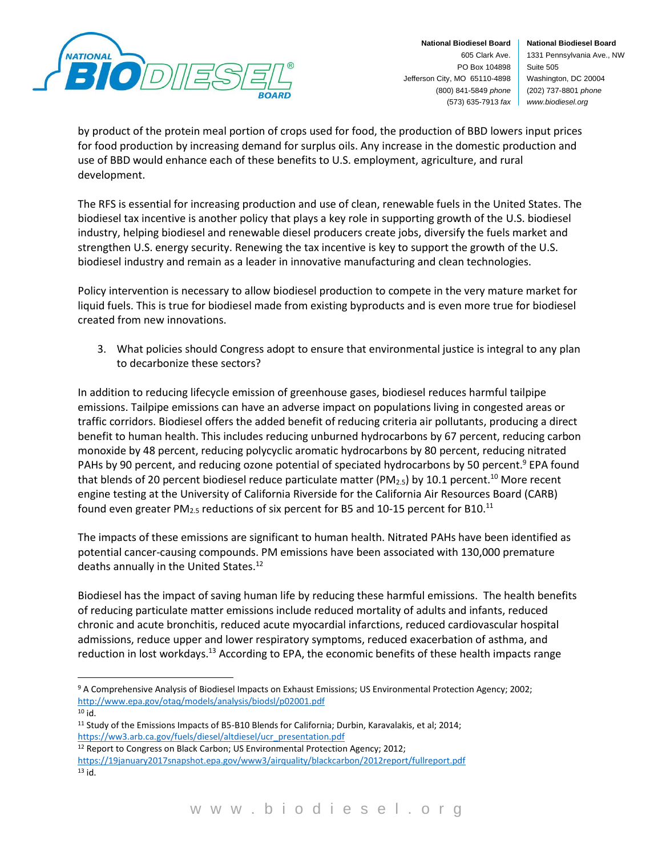

**National Biodiesel Board** 1331 Pennsylvania Ave., NW Suite 505 Washington, DC 20004 (202) 737-8801 *phone www.biodiesel.org*

by product of the protein meal portion of crops used for food, the production of BBD lowers input prices for food production by increasing demand for surplus oils. Any increase in the domestic production and use of BBD would enhance each of these benefits to U.S. employment, agriculture, and rural development.

The RFS is essential for increasing production and use of clean, renewable fuels in the United States. The biodiesel tax incentive is another policy that plays a key role in supporting growth of the U.S. biodiesel industry, helping biodiesel and renewable diesel producers create jobs, diversify the fuels market and strengthen U.S. energy security. Renewing the tax incentive is key to support the growth of the U.S. biodiesel industry and remain as a leader in innovative manufacturing and clean technologies.

Policy intervention is necessary to allow biodiesel production to compete in the very mature market for liquid fuels. This is true for biodiesel made from existing byproducts and is even more true for biodiesel created from new innovations.

3. What policies should Congress adopt to ensure that environmental justice is integral to any plan to decarbonize these sectors?

In addition to reducing lifecycle emission of greenhouse gases, biodiesel reduces harmful tailpipe emissions. Tailpipe emissions can have an adverse impact on populations living in congested areas or traffic corridors. Biodiesel offers the added benefit of reducing criteria air pollutants, producing a direct benefit to human health. This includes reducing unburned hydrocarbons by 67 percent, reducing carbon monoxide by 48 percent, reducing polycyclic aromatic hydrocarbons by 80 percent, reducing nitrated PAHs by 90 percent, and reducing ozone potential of speciated hydrocarbons by 50 percent.<sup>9</sup> EPA found that blends of 20 percent biodiesel reduce particulate matter (PM<sub>2.5</sub>) by 10.1 percent.<sup>10</sup> More recent engine testing at the University of California Riverside for the California Air Resources Board (CARB) found even greater PM<sub>2.5</sub> reductions of six percent for B5 and 10-15 percent for B10.<sup>11</sup>

The impacts of these emissions are significant to human health. Nitrated PAHs have been identified as potential cancer-causing compounds. PM emissions have been associated with 130,000 premature deaths annually in the United States.<sup>12</sup>

Biodiesel has the impact of saving human life by reducing these harmful emissions. The health benefits of reducing particulate matter emissions include reduced mortality of adults and infants, reduced chronic and acute bronchitis, reduced acute myocardial infarctions, reduced cardiovascular hospital admissions, reduce upper and lower respiratory symptoms, reduced exacerbation of asthma, and reduction in lost workdays.<sup>13</sup> According to EPA, the economic benefits of these health impacts range

<sup>12</sup> Report to Congress on Black Carbon; US Environmental Protection Agency; 2012; <https://19january2017snapshot.epa.gov/www3/airquality/blackcarbon/2012report/fullreport.pdf> <sup>13</sup> id.

<sup>9</sup> A Comprehensive Analysis of Biodiesel Impacts on Exhaust Emissions; US Environmental Protection Agency; 2002; <http://www.epa.gov/otaq/models/analysis/biodsl/p02001.pdf> <sup>10</sup> id.

<sup>&</sup>lt;sup>11</sup> Study of the Emissions Impacts of B5-B10 Blends for California; Durbin, Karavalakis, et al; 2014; [https://ww3.arb.ca.gov/fuels/diesel/altdiesel/ucr\\_presentation.pdf](https://ww3.arb.ca.gov/fuels/diesel/altdiesel/ucr_presentation.pdf)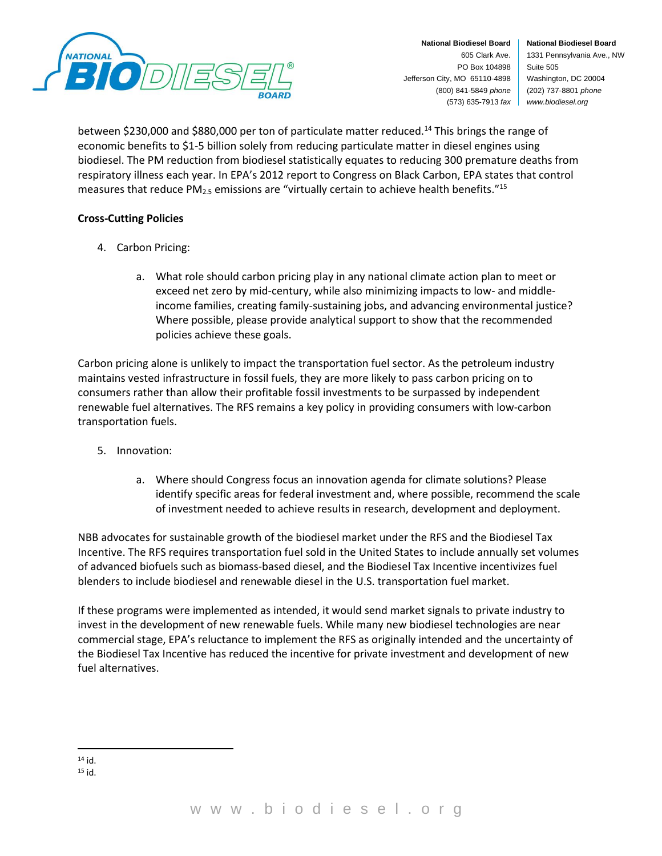

**National Biodiesel Board** 1331 Pennsylvania Ave., NW Suite 505 Washington, DC 20004 (202) 737-8801 *phone www.biodiesel.org*

between \$230,000 and \$880,000 per ton of particulate matter reduced.<sup>14</sup> This brings the range of economic benefits to \$1-5 billion solely from reducing particulate matter in diesel engines using biodiesel. The PM reduction from biodiesel statistically equates to reducing 300 premature deaths from respiratory illness each year. In EPA's 2012 report to Congress on Black Carbon, EPA states that control measures that reduce PM<sub>2.5</sub> emissions are "virtually certain to achieve health benefits."<sup>15</sup>

## **Cross-Cutting Policies**

- 4. Carbon Pricing:
	- a. What role should carbon pricing play in any national climate action plan to meet or exceed net zero by mid-century, while also minimizing impacts to low- and middleincome families, creating family-sustaining jobs, and advancing environmental justice? Where possible, please provide analytical support to show that the recommended policies achieve these goals.

Carbon pricing alone is unlikely to impact the transportation fuel sector. As the petroleum industry maintains vested infrastructure in fossil fuels, they are more likely to pass carbon pricing on to consumers rather than allow their profitable fossil investments to be surpassed by independent renewable fuel alternatives. The RFS remains a key policy in providing consumers with low-carbon transportation fuels.

- 5. Innovation:
	- a. Where should Congress focus an innovation agenda for climate solutions? Please identify specific areas for federal investment and, where possible, recommend the scale of investment needed to achieve results in research, development and deployment.

NBB advocates for sustainable growth of the biodiesel market under the RFS and the Biodiesel Tax Incentive. The RFS requires transportation fuel sold in the United States to include annually set volumes of advanced biofuels such as biomass-based diesel, and the Biodiesel Tax Incentive incentivizes fuel blenders to include biodiesel and renewable diesel in the U.S. transportation fuel market.

If these programs were implemented as intended, it would send market signals to private industry to invest in the development of new renewable fuels. While many new biodiesel technologies are near commercial stage, EPA's reluctance to implement the RFS as originally intended and the uncertainty of the Biodiesel Tax Incentive has reduced the incentive for private investment and development of new fuel alternatives.

<sup>14</sup> id.

<sup>15</sup> id.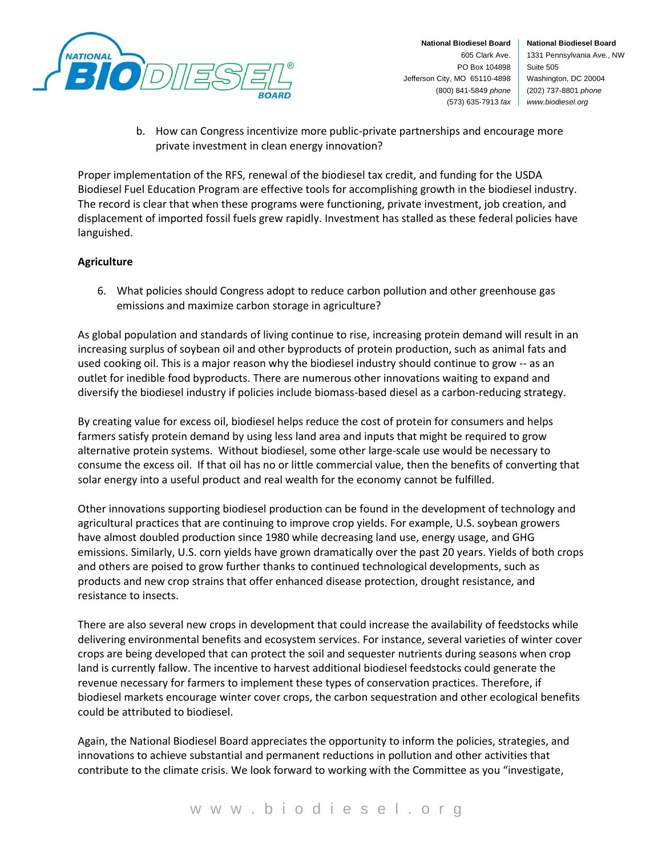

**National Biodiesel Board** 1331 Pennsylvania Ave., NW Suite 505 Washington, DC 20004 (202) 737-8801 *phone www.biodiesel.org*

b. How can Congress incentivize more public-private partnerships and encourage more private investment in clean energy innovation?

Proper implementation of the RFS, renewal of the biodiesel tax credit, and funding for the USDA Biodiesel Fuel Education Program are effective tools for accomplishing growth in the biodiesel industry. The record is clear that when these programs were functioning, private investment, job creation, and displacement of imported fossil fuels grew rapidly. Investment has stalled as these federal policies have languished.

## **Agriculture**

6. What policies should Congress adopt to reduce carbon pollution and other greenhouse gas emissions and maximize carbon storage in agriculture?

As global population and standards of living continue to rise, increasing protein demand will result in an increasing surplus of soybean oil and other byproducts of protein production, such as animal fats and used cooking oil. This is a major reason why the biodiesel industry should continue to grow -- as an outlet for inedible food byproducts. There are numerous other innovations waiting to expand and diversify the biodiesel industry if policies include biomass-based diesel as a carbon-reducing strategy.

By creating value for excess oil, biodiesel helps reduce the cost of protein for consumers and helps farmers satisfy protein demand by using less land area and inputs that might be required to grow alternative protein systems. Without biodiesel, some other large-scale use would be necessary to consume the excess oil. If that oil has no or little commercial value, then the benefits of converting that solar energy into a useful product and real wealth for the economy cannot be fulfilled.

Other innovations supporting biodiesel production can be found in the development of technology and agricultural practices that are continuing to improve crop yields. For example, U.S. soybean growers have almost doubled production since 1980 while decreasing land use, energy usage, and GHG emissions. Similarly, U.S. corn yields have grown dramatically over the past 20 years. Yields of both crops and others are poised to grow further thanks to continued technological developments, such as products and new crop strains that offer enhanced disease protection, drought resistance, and resistance to insects.

There are also several new crops in development that could increase the availability of feedstocks while delivering environmental benefits and ecosystem services. For instance, several varieties of winter cover crops are being developed that can protect the soil and sequester nutrients during seasons when crop land is currently fallow. The incentive to harvest additional biodiesel feedstocks could generate the revenue necessary for farmers to implement these types of conservation practices. Therefore, if biodiesel markets encourage winter cover crops, the carbon sequestration and other ecological benefits could be attributed to biodiesel.

Again, the National Biodiesel Board appreciates the opportunity to inform the policies, strategies, and innovations to achieve substantial and permanent reductions in pollution and other activities that contribute to the climate crisis. We look forward to working with the Committee as you "investigate,